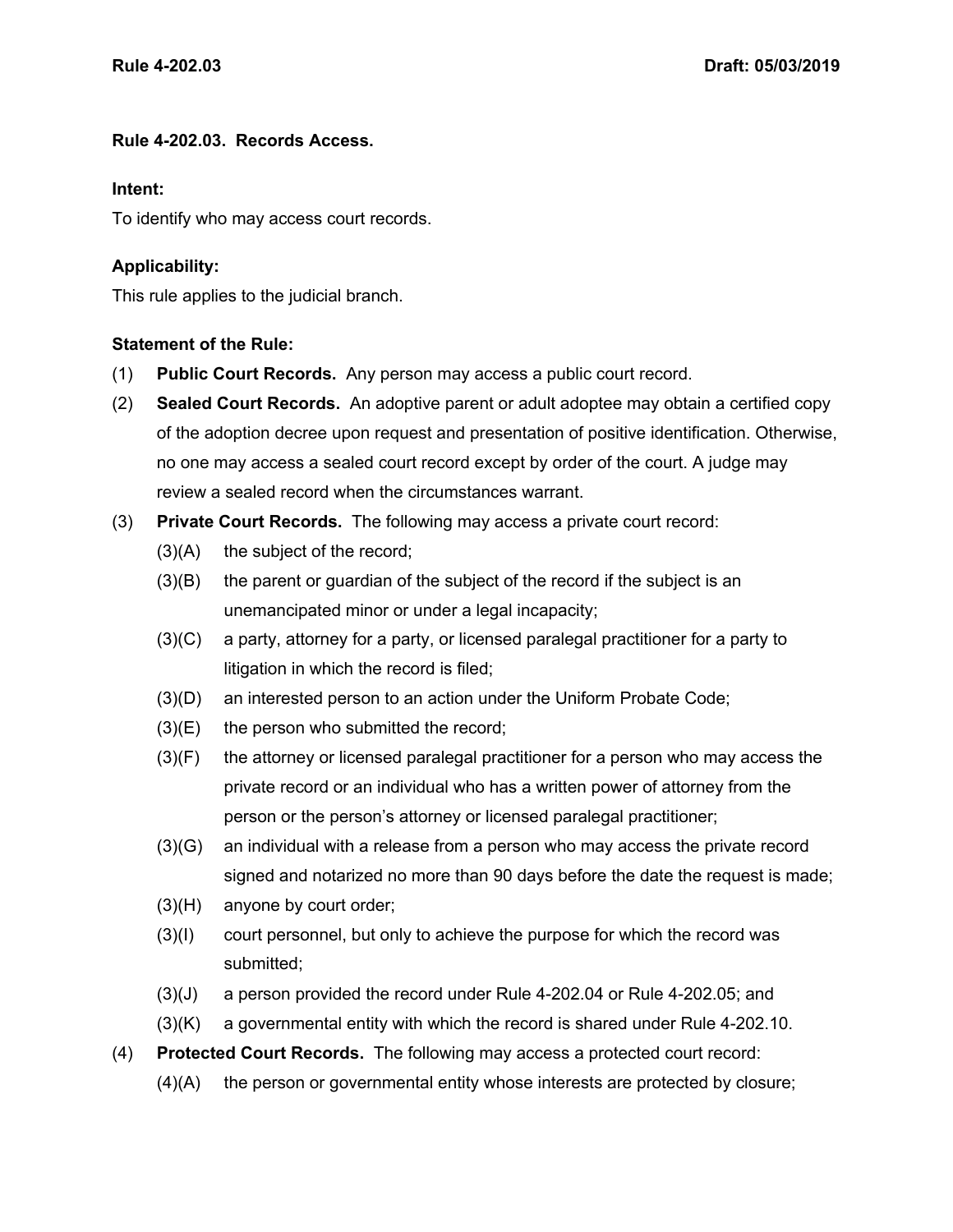## **Rule 4-202.03. Records Access.**

## **Intent:**

To identify who may access court records.

## **Applicability:**

This rule applies to the judicial branch.

## **Statement of the Rule:**

- (1) **Public Court Records.** Any person may access a public court record.
- (2) **Sealed Court Records.** An adoptive parent or adult adoptee may obtain a certified copy of the adoption decree upon request and presentation of positive identification. Otherwise, no one may access a sealed court record except by order of the court. A judge may review a sealed record when the circumstances warrant.
- (3) **Private Court Records.** The following may access a private court record:
	- $(3)(A)$  the subject of the record;
	- (3)(B) the parent or guardian of the subject of the record if the subject is an unemancipated minor or under a legal incapacity;
	- (3)(C) a party, attorney for a party, or licensed paralegal practitioner for a party to litigation in which the record is filed;
	- (3)(D) an interested person to an action under the Uniform Probate Code;
	- $(3)(E)$  the person who submitted the record;
	- (3)(F) the attorney or licensed paralegal practitioner for a person who may access the private record or an individual who has a written power of attorney from the person or the person's attorney or licensed paralegal practitioner;
	- (3)(G) an individual with a release from a person who may access the private record signed and notarized no more than 90 days before the date the request is made;
	- (3)(H) anyone by court order;
	- (3)(I) court personnel, but only to achieve the purpose for which the record was submitted;
	- (3)(J) a person provided the record under Rule 4-202.04 or Rule 4-202.05; and
	- (3)(K) a governmental entity with which the record is shared under Rule 4-202.10.
- (4) **Protected Court Records.** The following may access a protected court record:
	- (4)(A) the person or governmental entity whose interests are protected by closure;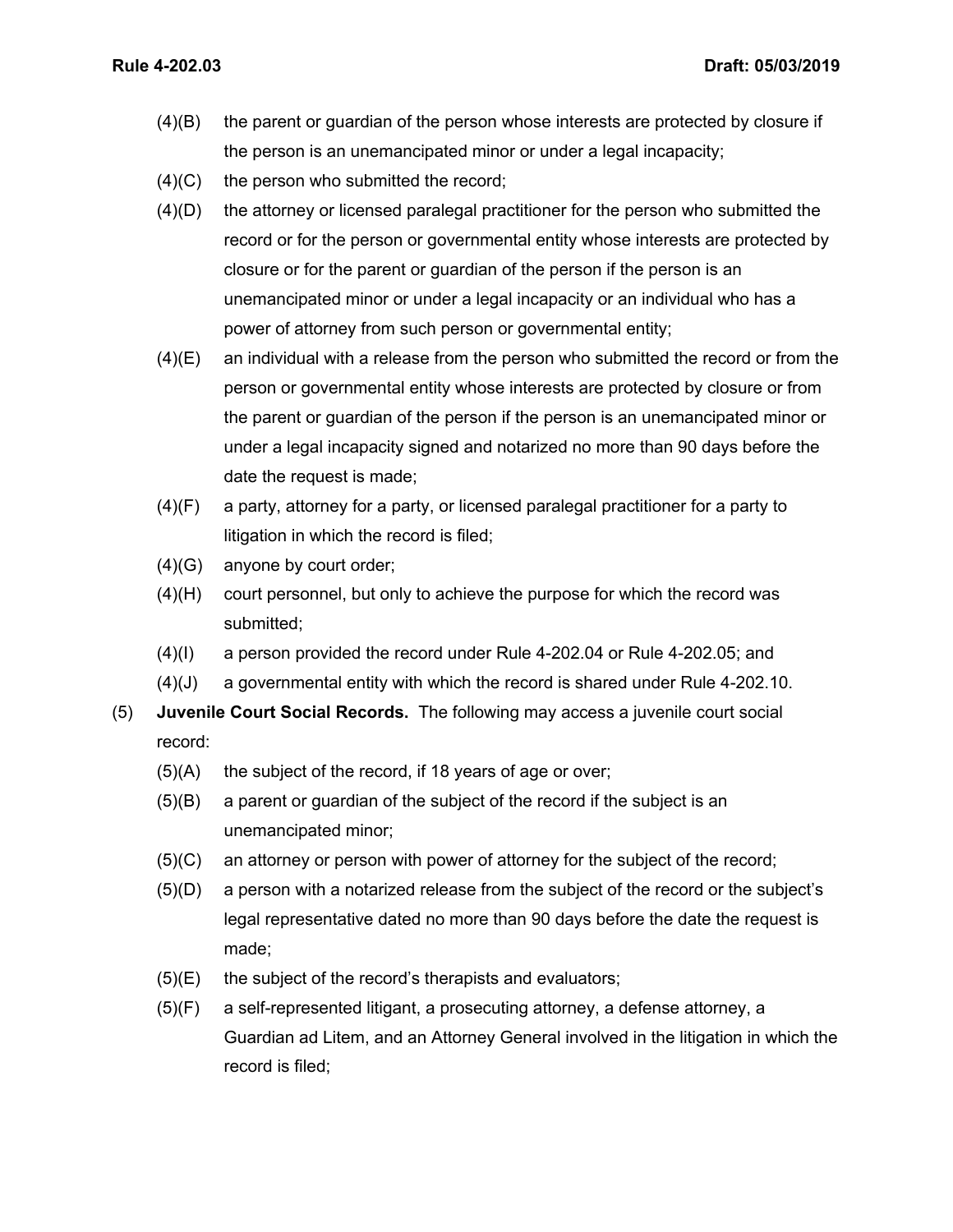- (4)(B) the parent or guardian of the person whose interests are protected by closure if the person is an unemancipated minor or under a legal incapacity;
- $(4)(C)$  the person who submitted the record;
- (4)(D) the attorney or licensed paralegal practitioner for the person who submitted the record or for the person or governmental entity whose interests are protected by closure or for the parent or guardian of the person if the person is an unemancipated minor or under a legal incapacity or an individual who has a power of attorney from such person or governmental entity;
- $(4)(E)$  an individual with a release from the person who submitted the record or from the person or governmental entity whose interests are protected by closure or from the parent or guardian of the person if the person is an unemancipated minor or under a legal incapacity signed and notarized no more than 90 days before the date the request is made;
- (4)(F) a party, attorney for a party, or licensed paralegal practitioner for a party to litigation in which the record is filed;
- (4)(G) anyone by court order;
- (4)(H) court personnel, but only to achieve the purpose for which the record was submitted;
- (4)(I) a person provided the record under Rule 4-202.04 or Rule 4-202.05; and
- (4)(J) a governmental entity with which the record is shared under Rule 4-202.10.
- (5) **Juvenile Court Social Records.** The following may access a juvenile court social record:
	- $(5)(A)$  the subject of the record, if 18 years of age or over;
	- (5)(B) a parent or guardian of the subject of the record if the subject is an unemancipated minor;
	- (5)(C) an attorney or person with power of attorney for the subject of the record;
	- (5)(D) a person with a notarized release from the subject of the record or the subject's legal representative dated no more than 90 days before the date the request is made;
	- $(5)(E)$  the subject of the record's therapists and evaluators;
	- (5)(F) a self-represented litigant, a prosecuting attorney, a defense attorney, a Guardian ad Litem, and an Attorney General involved in the litigation in which the record is filed;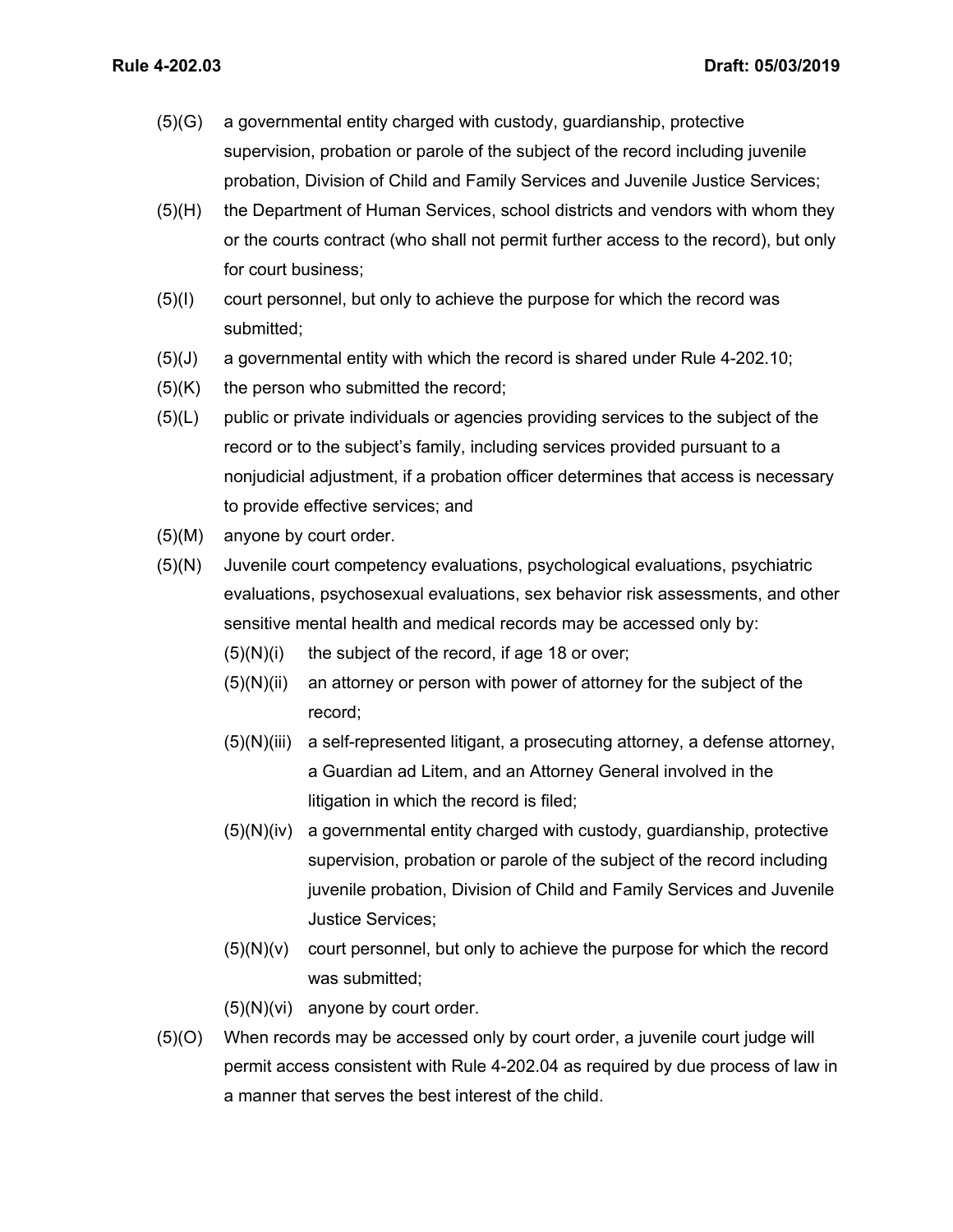- (5)(G) a governmental entity charged with custody, guardianship, protective supervision, probation or parole of the subject of the record including juvenile probation, Division of Child and Family Services and Juvenile Justice Services;
- (5)(H) the Department of Human Services, school districts and vendors with whom they or the courts contract (who shall not permit further access to the record), but only for court business;
- (5)(I) court personnel, but only to achieve the purpose for which the record was submitted;
- (5)(J) a governmental entity with which the record is shared under Rule 4-202.10;
- $(5)(K)$  the person who submitted the record;
- (5)(L) public or private individuals or agencies providing services to the subject of the record or to the subject's family, including services provided pursuant to a nonjudicial adjustment, if a probation officer determines that access is necessary to provide effective services; and
- (5)(M) anyone by court order.
- (5)(N) Juvenile court competency evaluations, psychological evaluations, psychiatric evaluations, psychosexual evaluations, sex behavior risk assessments, and other sensitive mental health and medical records may be accessed only by:
	- $(5)(N)(i)$  the subject of the record, if age 18 or over;
	- $(5)(N)(ii)$  an attorney or person with power of attorney for the subject of the record;
	- (5)(N)(iii) a self-represented litigant, a prosecuting attorney, a defense attorney, a Guardian ad Litem, and an Attorney General involved in the litigation in which the record is filed;
	- (5)(N)(iv) a governmental entity charged with custody, guardianship, protective supervision, probation or parole of the subject of the record including juvenile probation, Division of Child and Family Services and Juvenile Justice Services;
	- $(5)(N)(v)$  court personnel, but only to achieve the purpose for which the record was submitted;
	- (5)(N)(vi) anyone by court order.
- (5)(O) When records may be accessed only by court order, a juvenile court judge will permit access consistent with Rule 4-202.04 as required by due process of law in a manner that serves the best interest of the child.